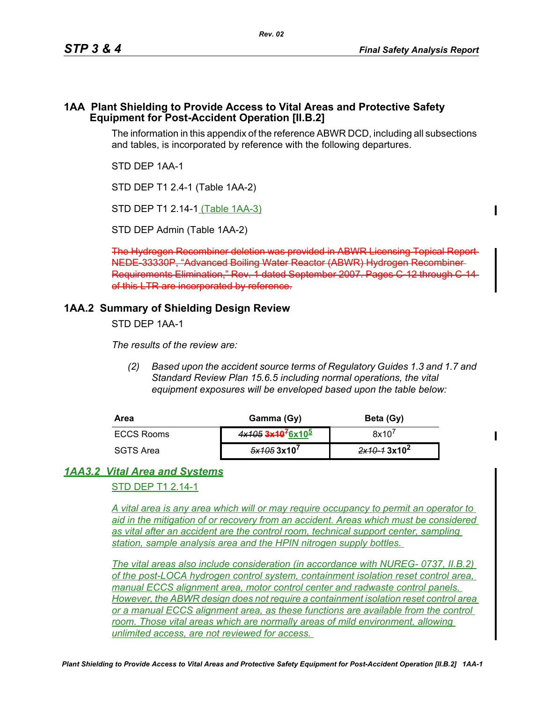#### **1AA Plant Shielding to Provide Access to Vital Areas and Protective Safety Equipment for Post-Accident Operation [II.B.2]**

The information in this appendix of the reference ABWR DCD, including all subsections and tables, is incorporated by reference with the following departures.

STD DEP 1AA-1

STD DEP T1 2.4-1 (Table 1AA-2)

STD DEP T1 2.14-1 (Table 1AA-3)

STD DEP Admin (Table 1AA-2)

The Hydrogen Recombiner deletion was provided in ABWR Licensing NEDE-33330P, "Advanced Boiling Water Reactor (ABWR) Hydrogen Recombiner Requirements Elimination," Rev. 1 dated September 2007. Pages C-12 through of this LTR are incorporated by reference.

# **1AA.2 Summary of Shielding Design Review**

STD DEP 1AA-1

*The results of the review are:*

*(2) Based upon the accident source terms of Regulatory Guides 1.3 and 1.7 and Standard Review Plan 15.6.5 including normal operations, the vital equipment exposures will be enveloped based upon the table below:*

| Area              | Gamma (Gy)                                | Beta (Gy)      |
|-------------------|-------------------------------------------|----------------|
| <b>ECCS Rooms</b> | 4x105 3x10 <sup>7</sup> 6x10 <sup>5</sup> | 8x10'          |
| SGTS Area         | $5x1053x10^7$                             | $2x10-13x10^2$ |

# *1AA3.2 Vital Area and Systems*

STD DEP T1 2.14-1

*A vital area is any area which will or may require occupancy to permit an operator to aid in the mitigation of or recovery from an accident. Areas which must be considered as vital after an accident are the control room, technical support center, sampling station, sample analysis area and the HPIN nitrogen supply bottles.* 

*The vital areas also include consideration (in accordance with NUREG- 0737, II.B.2) of the post-LOCA hydrogen control system, containment isolation reset control area, manual ECCS alignment area, motor control center and radwaste control panels. However, the ABWR design does not require a containment isolation reset control area or a manual ECCS alignment area, as these functions are available from the control room. Those vital areas which are normally areas of mild environment, allowing unlimited access, are not reviewed for access.*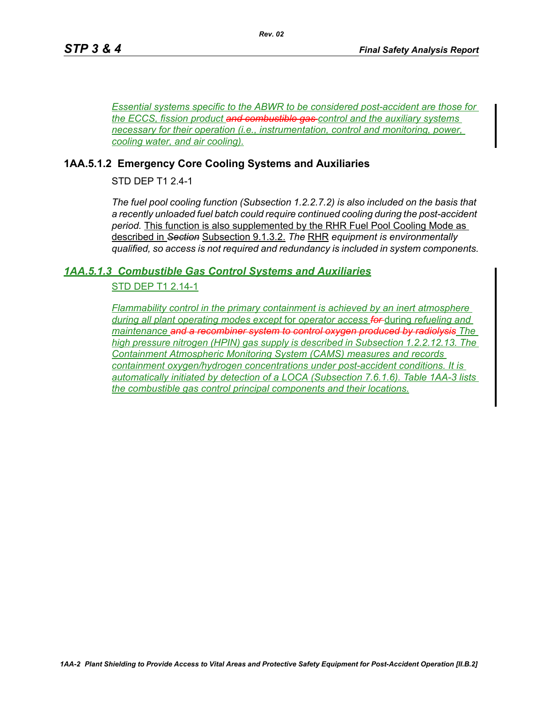*Essential systems specific to the ABWR to be considered post-accident are those for the ECCS, fission product and combustible gas control and the auxiliary systems necessary for their operation (i.e., instrumentation, control and monitoring, power, cooling water, and air cooling).*

### **1AA.5.1.2 Emergency Core Cooling Systems and Auxiliaries**

STD DEP T1 2.4-1

*The fuel pool cooling function (Subsection 1.2.2.7.2) is also included on the basis that a recently unloaded fuel batch could require continued cooling during the post-accident period.* This function is also supplemented by the RHR Fuel Pool Cooling Mode as described in *Section* Subsection 9.1.3.2. *The* RHR *equipment is environmentally qualified, so access is not required and redundancy is included in system components.*

### *1AA.5.1.3 Combustible Gas Control Systems and Auxiliaries*

### STD DEP T1 2.14-1

*Flammability control in the primary containment is achieved by an inert atmosphere during all plant operating modes except* for *operator access for* during *refueling and maintenance and a recombiner system to control oxygen produced by radiolysis The high pressure nitrogen (HPIN) gas supply is described in Subsection 1.2.2.12.13. The Containment Atmospheric Monitoring System (CAMS) measures and records containment oxygen/hydrogen concentrations under post-accident conditions. It is automatically initiated by detection of a LOCA (Subsection 7.6.1.6). Table 1AA-3 lists the combustible gas control principal components and their locations.*